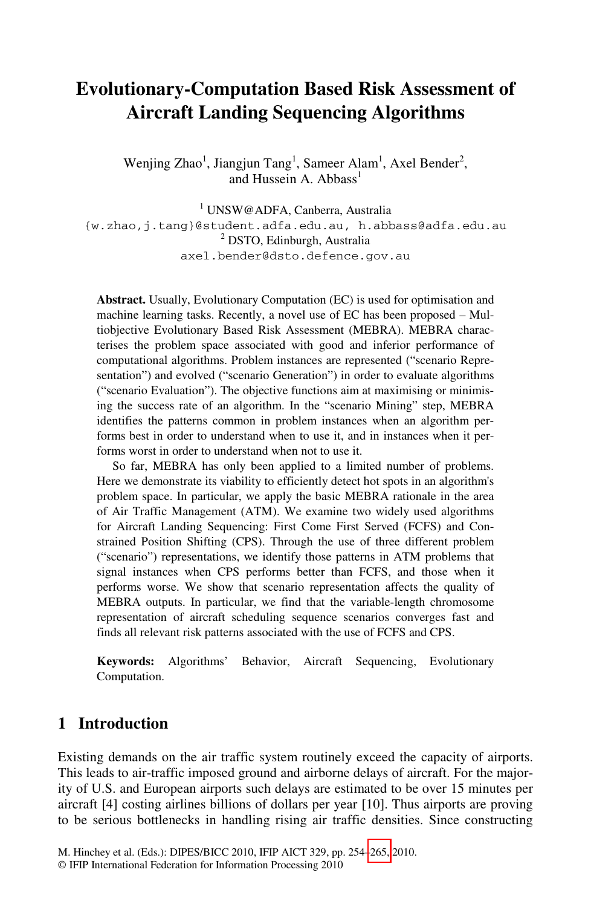# **Evolutionary-Computation Based Risk Assessment of Aircraft Landing Sequencing Algorithms**

Wenjing Zhao<sup>1</sup>, Jiangjun Tang<sup>1</sup>, Sameer Alam<sup>1</sup>, Axel Bender<sup>2</sup>, and Hussein A. Abbass<sup>1</sup>

1 UNSW@ADFA, Canberra, Australia {w.zhao,j.tang}@student.adfa.edu.au, h.abbass@adfa.edu.au 2 DSTO, Edinburgh, Australia axel.bender@dsto.defence.gov.au

**Abstract.** Usually, Evolutionary Computation (EC) is used for optimisation and machine learning tasks. Recently, a novel use of EC has been proposed – Multiobjective Evolutionary Based Risk Assessment (MEBRA). MEBRA characterises the problem space associated with good and inferior performance of computational algorithms. Problem instances are represented ("scenario Representation") and evolved ("scenario Generation") in order to evaluate algorithms ("scenario Evaluation"). The objective functions aim at maximising or minimising the success rate of an algorithm. In the "scenario Mining" step, MEBRA identifies the patterns common in problem instances when an algorithm performs best in order to understand when to use it, and in instances when it performs worst in order to understand when not to use it.

So far, MEBRA has only been applied to a limited number of problems. Here we demonstrate its viability to efficiently detect hot spots in an algorithm's problem space. In particular, we apply the basic MEBRA rationale in the area of Air Traffic Management (ATM). We examine two widely used algorithms for Aircraft Landing Sequencing: First Come First Served (FCFS) and Constrained Position Shifting (CPS). Through the use of three different problem ("scenario") representations, we identify those patterns in ATM problems that signal instances when CPS performs better than FCFS, and those when it performs worse. We show that scenario representation affects the quality of MEBRA outputs. In particular, we find that the variable-length chromosome representation of aircraft scheduling sequence scenarios converges fast and finds all relevant risk patterns associated with the use of FCFS and CPS.

**Keywords:** Algorithms' Behavior, Aircraft Sequencing, Evolutionary Computation.

#### **1 Introduction**

Existing demands on the air traffic system routinely exceed the capacity of airports. This leads to air-traffic imposed ground and airborne delays of aircraft. For the majority of U.S. and European airports such delays are estimated to be over 15 minutes per aircraft [4] costing airlines billions of dollars per year [10]. Thus airports are proving to be serious bottlenecks in handling rising air traffic densities. Since constructing

M. Hinchey et al. (Eds.): DIPES/BICC 2010, IFIP AICT 329, pp. 254–265, 2010.

<sup>©</sup> IFIP International Federation for Information Processing 2010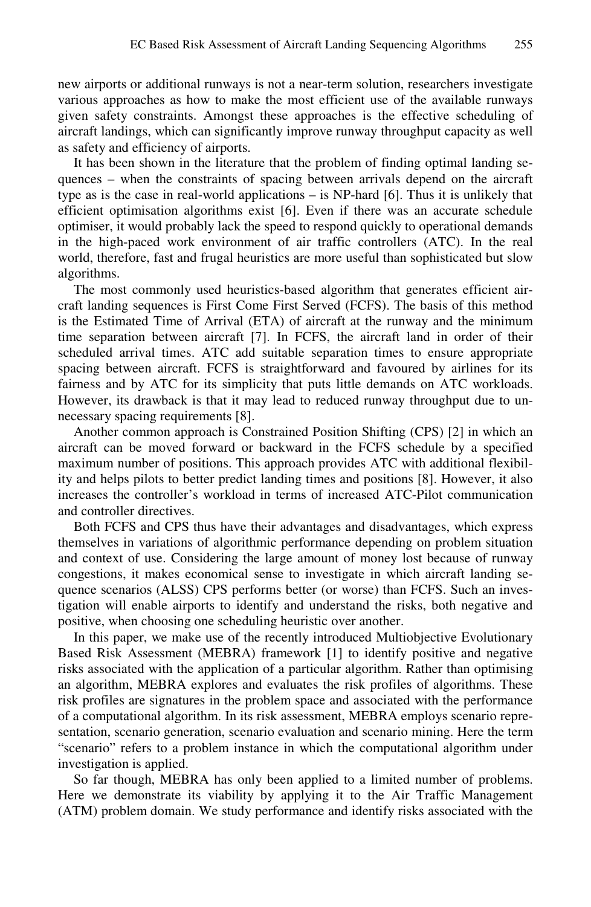new airports or additional runways is not a near-term solution, researchers investigate various approaches as how to make the most efficient use of the available runways given safety constraints. Amongst these approaches is the effective scheduling of aircraft landings, which can significantly improve runway throughput capacity as well as safety and efficiency of airports.

It has been shown in the literature that the problem of finding optimal landing sequences – when the constraints of spacing between arrivals depend on the aircraft type as is the case in real-world applications – is NP-hard [6]. Thus it is unlikely that efficient optimisation algorithms exist [6]. Even if there was an accurate schedule optimiser, it would probably lack the speed to respond quickly to operational demands in the high-paced work environment of air traffic controllers (ATC). In the real world, therefore, fast and frugal heuristics are more useful than sophisticated but slow algorithms.

The most commonly used heuristics-based algorithm that generates efficient aircraft landing sequences is First Come First Served (FCFS). The basis of this method is the Estimated Time of Arrival (ETA) of aircraft at the runway and the minimum time separation between aircraft [7]. In FCFS, the aircraft land in order of their scheduled arrival times. ATC add suitable separation times to ensure appropriate spacing between aircraft. FCFS is straightforward and favoured by airlines for its fairness and by ATC for its simplicity that puts little demands on ATC workloads. However, its drawback is that it may lead to reduced runway throughput due to unnecessary spacing requirements [8].

Another common approach is Constrained Position Shifting (CPS) [2] in which an aircraft can be moved forward or backward in the FCFS schedule by a specified maximum number of positions. This approach provides ATC with additional flexibility and helps pilots to better predict landing times and positions [8]. However, it also increases the controller's workload in terms of increased ATC-Pilot communication and controller directives.

Both FCFS and CPS thus have their advantages and disadvantages, which express themselves in variations of algorithmic performance depending on problem situation and context of use. Considering the large amount of money lost because of runway congestions, it makes economical sense to investigate in which aircraft landing sequence scenarios (ALSS) CPS performs better (or worse) than FCFS. Such an investigation will enable airports to identify and understand the risks, both negative and positive, when choosing one scheduling heuristic over another.

In this paper, we make use of the recently introduced Multiobjective Evolutionary Based Risk Assessment (MEBRA) framework [1] to identify positive and negative risks associated with the application of a particular algorithm. Rather than optimising an algorithm, MEBRA explores and evaluates the risk profiles of algorithms. These risk profiles are signatures in the problem space and associated with the performance of a computational algorithm. In its risk assessment, MEBRA employs scenario representation, scenario generation, scenario evaluation and scenario mining. Here the term "scenario" refers to a problem instance in which the computational algorithm under investigation is applied.

So far though, MEBRA has only been applied to a limited number of problems. Here we demonstrate its viability by applying it to the Air Traffic Management (ATM) problem domain. We study performance and identify risks associated with the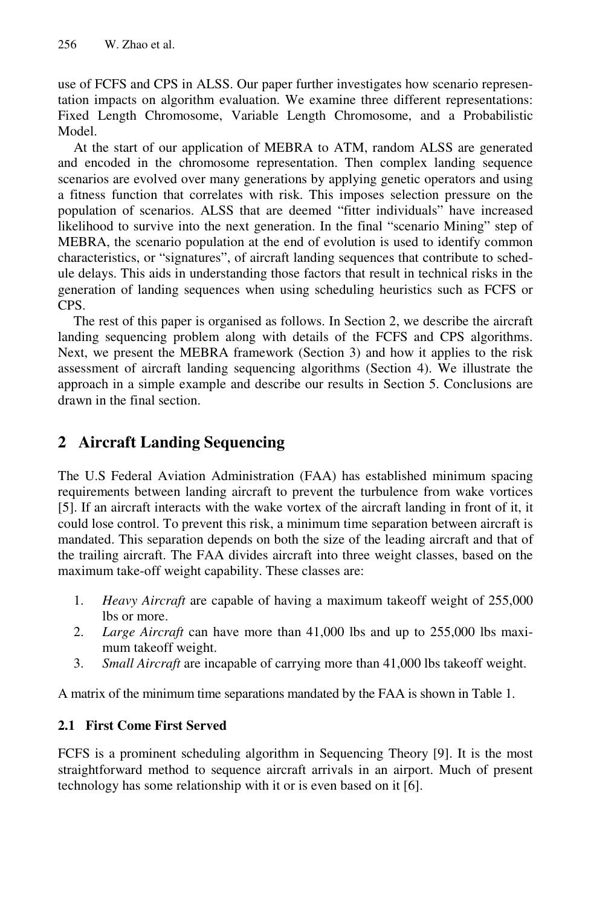use of FCFS and CPS in ALSS. Our paper further investigates how scenario representation impacts on algorithm evaluation. We examine three different representations: Fixed Length Chromosome, Variable Length Chromosome, and a Probabilistic Model.

At the start of our application of MEBRA to ATM, random ALSS are generated and encoded in the chromosome representation. Then complex landing sequence scenarios are evolved over many generations by applying genetic operators and using a fitness function that correlates with risk. This imposes selection pressure on the population of scenarios. ALSS that are deemed "fitter individuals" have increased likelihood to survive into the next generation. In the final "scenario Mining" step of MEBRA, the scenario population at the end of evolution is used to identify common characteristics, or "signatures", of aircraft landing sequences that contribute to schedule delays. This aids in understanding those factors that result in technical risks in the generation of landing sequences when using scheduling heuristics such as FCFS or CPS.

The rest of this paper is organised as follows. In Section 2, we describe the aircraft landing sequencing problem along with details of the FCFS and CPS algorithms. Next, we present the MEBRA framework (Section 3) and how it applies to the risk assessment of aircraft landing sequencing algorithms (Section 4). We illustrate the approach in a simple example and describe our results in Section 5. Conclusions are drawn in the final section.

## **2 Aircraft Landing Sequencing**

The U.S Federal Aviation Administration (FAA) has established minimum spacing requirements between landing aircraft to prevent the turbulence from wake vortices [5]. If an aircraft interacts with the wake vortex of the aircraft landing in front of it, it could lose control. To prevent this risk, a minimum time separation between aircraft is mandated. This separation depends on both the size of the leading aircraft and that of the trailing aircraft. The FAA divides aircraft into three weight classes, based on the maximum take-off weight capability. These classes are:

- 1. *Heavy Aircraft* are capable of having a maximum takeoff weight of 255,000 lbs or more.
- 2. *Large Aircraft* can have more than 41,000 lbs and up to 255,000 lbs maximum takeoff weight.
- 3. *Small Aircraft* are incapable of carrying more than 41,000 lbs takeoff weight.

A matrix of the minimum time separations mandated by the FAA is shown in Table 1.

#### **2.1 First Come First Served**

FCFS is a prominent scheduling algorithm in Sequencing Theory [9]. It is the most straightforward method to sequence aircraft arrivals in an airport. Much of present technology has some relationship with it or is even based on it [6].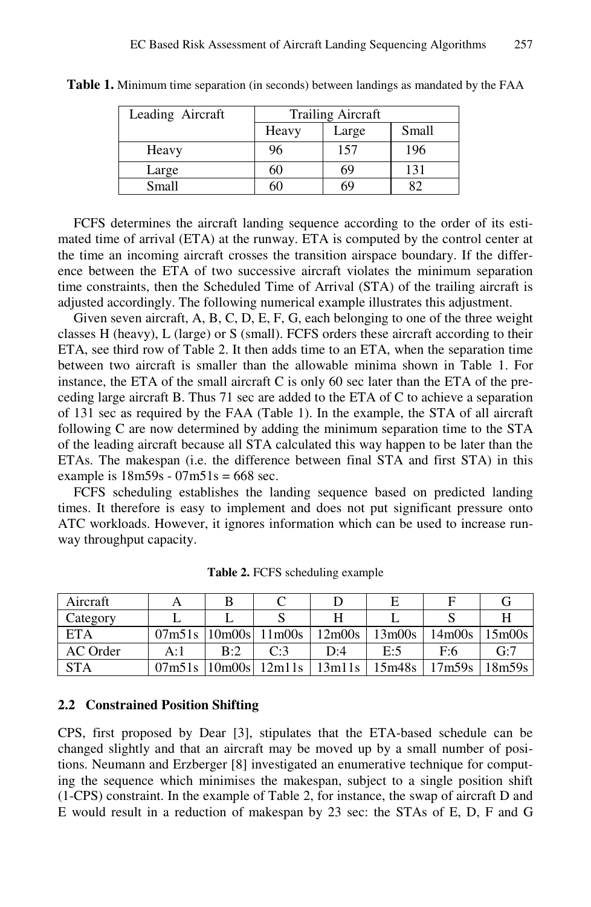| Leading Aircraft | <b>Trailing Aircraft</b> |       |       |  |
|------------------|--------------------------|-------|-------|--|
|                  | Heavy                    | Large | Small |  |
| Heavy            | 96                       | 157   | 196   |  |
| Large            | 60                       | 69    | 131   |  |
| <b>Small</b>     | 50                       | ςς    |       |  |

**Table 1.** Minimum time separation (in seconds) between landings as mandated by the FAA

FCFS determines the aircraft landing sequence according to the order of its estimated time of arrival (ETA) at the runway. ETA is computed by the control center at the time an incoming aircraft crosses the transition airspace boundary. If the difference between the ETA of two successive aircraft violates the minimum separation time constraints, then the Scheduled Time of Arrival (STA) of the trailing aircraft is adjusted accordingly. The following numerical example illustrates this adjustment.

Given seven aircraft, A, B, C, D, E, F, G, each belonging to one of the three weight classes H (heavy), L (large) or S (small). FCFS orders these aircraft according to their ETA, see third row of Table 2. It then adds time to an ETA, when the separation time between two aircraft is smaller than the allowable minima shown in Table 1. For instance, the ETA of the small aircraft C is only 60 sec later than the ETA of the preceding large aircraft B. Thus 71 sec are added to the ETA of C to achieve a separation of 131 sec as required by the FAA (Table 1). In the example, the STA of all aircraft following C are now determined by adding the minimum separation time to the STA of the leading aircraft because all STA calculated this way happen to be later than the ETAs. The makespan (i.e. the difference between final STA and first STA) in this example is  $18m59s - 07m51s = 668$  sec.

FCFS scheduling establishes the landing sequence based on predicted landing times. It therefore is easy to implement and does not put significant pressure onto ATC workloads. However, it ignores information which can be used to increase runway throughput capacity.

| Aircraft   |     |     |                        |        |                     |        |                     |
|------------|-----|-----|------------------------|--------|---------------------|--------|---------------------|
| Category   |     |     |                        |        |                     |        |                     |
| <b>ETA</b> |     |     | $07m51s$ 10m00s 11m00s |        | $12m00s$   $13m00s$ | 14m00s | $15 \text{m}$ 00s   |
| AC Order   | A:1 | B:2 | $C-3$                  | D:4    | E:5                 | F:6    | G:7                 |
| <b>STA</b> |     |     | $07m51s$ 10m00s 12m11s | 13m11s | 15m48s              |        | $17m59s$   $18m59s$ |

**Table 2.** FCFS scheduling example

#### **2.2 Constrained Position Shifting**

CPS, first proposed by Dear [3], stipulates that the ETA-based schedule can be changed slightly and that an aircraft may be moved up by a small number of positions. Neumann and Erzberger [8] investigated an enumerative technique for computing the sequence which minimises the makespan, subject to a single position shift (1-CPS) constraint. In the example of Table 2, for instance, the swap of aircraft D and E would result in a reduction of makespan by 23 sec: the STAs of E, D, F and G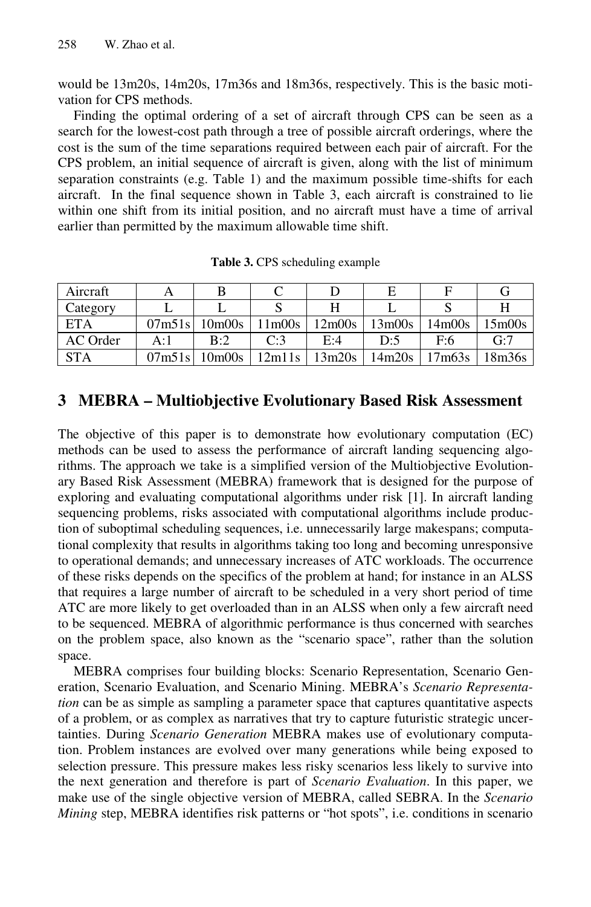would be 13m20s, 14m20s, 17m36s and 18m36s, respectively. This is the basic motivation for CPS methods.

Finding the optimal ordering of a set of aircraft through CPS can be seen as a search for the lowest-cost path through a tree of possible aircraft orderings, where the cost is the sum of the time separations required between each pair of aircraft. For the CPS problem, an initial sequence of aircraft is given, along with the list of minimum separation constraints (e.g. Table 1) and the maximum possible time-shifts for each aircraft. In the final sequence shown in Table 3, each aircraft is constrained to lie within one shift from its initial position, and no aircraft must have a time of arrival earlier than permitted by the maximum allowable time shift.

| Aircraft   |        |                                 |                                 |        |                   |                                 |        |
|------------|--------|---------------------------------|---------------------------------|--------|-------------------|---------------------------------|--------|
| Category   |        |                                 |                                 |        |                   |                                 |        |
| <b>ETA</b> | 07m51s | 10 <sub>m</sub> 00 <sub>s</sub> | 11 <sub>m</sub> 00 <sub>s</sub> | 12m00s | $13 \text{m}$ 00s | 14 <sub>m</sub> 00 <sub>s</sub> | 15m00s |
| AC Order   | A:1    | B:2                             | C:3                             | E:4    | D:5               | F:6                             | G:7    |
| <b>STA</b> | 07m51s | 10 <sub>m</sub> 00 <sub>s</sub> | 12m11s                          | 13m20s | 14m20s            | 17m63s                          | 18m36s |

**Table 3.** CPS scheduling example

## **3 MEBRA – Multiobjective Evolutionary Based Risk Assessment**

The objective of this paper is to demonstrate how evolutionary computation (EC) methods can be used to assess the performance of aircraft landing sequencing algorithms. The approach we take is a simplified version of the Multiobjective Evolutionary Based Risk Assessment (MEBRA) framework that is designed for the purpose of exploring and evaluating computational algorithms under risk [1]. In aircraft landing sequencing problems, risks associated with computational algorithms include production of suboptimal scheduling sequences, i.e. unnecessarily large makespans; computational complexity that results in algorithms taking too long and becoming unresponsive to operational demands; and unnecessary increases of ATC workloads. The occurrence of these risks depends on the specifics of the problem at hand; for instance in an ALSS that requires a large number of aircraft to be scheduled in a very short period of time ATC are more likely to get overloaded than in an ALSS when only a few aircraft need to be sequenced. MEBRA of algorithmic performance is thus concerned with searches on the problem space, also known as the "scenario space", rather than the solution space.

MEBRA comprises four building blocks: Scenario Representation, Scenario Generation, Scenario Evaluation, and Scenario Mining. MEBRA's *Scenario Representation* can be as simple as sampling a parameter space that captures quantitative aspects of a problem, or as complex as narratives that try to capture futuristic strategic uncertainties. During *Scenario Generation* MEBRA makes use of evolutionary computation. Problem instances are evolved over many generations while being exposed to selection pressure. This pressure makes less risky scenarios less likely to survive into the next generation and therefore is part of *Scenario Evaluation*. In this paper, we make use of the single objective version of MEBRA, called SEBRA. In the *Scenario Mining* step, MEBRA identifies risk patterns or "hot spots", i.e. conditions in scenario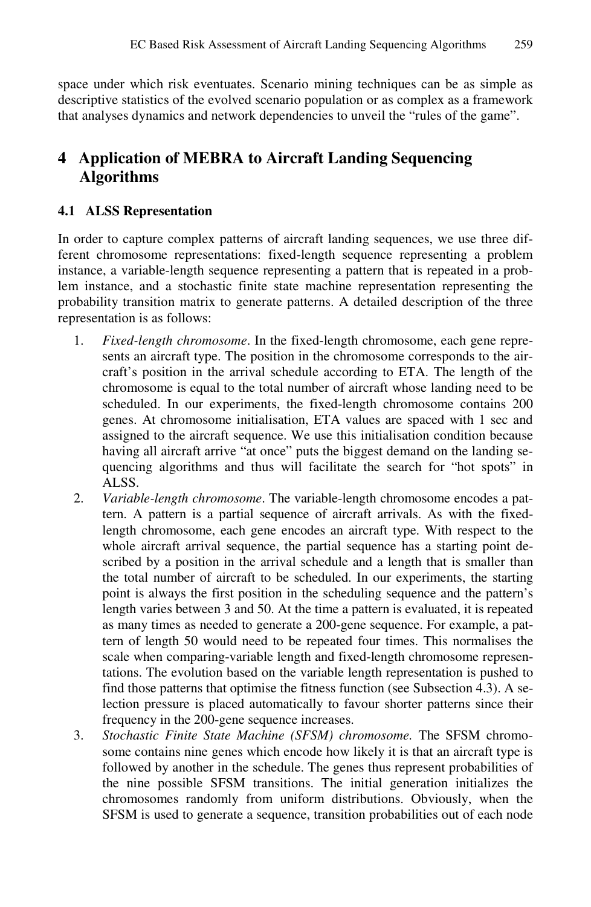space under which risk eventuates. Scenario mining techniques can be as simple as descriptive statistics of the evolved scenario population or as complex as a framework that analyses dynamics and network dependencies to unveil the "rules of the game".

## **4 Application of MEBRA to Aircraft Landing Sequencing Algorithms**

#### **4.1 ALSS Representation**

In order to capture complex patterns of aircraft landing sequences, we use three different chromosome representations: fixed-length sequence representing a problem instance, a variable-length sequence representing a pattern that is repeated in a problem instance, and a stochastic finite state machine representation representing the probability transition matrix to generate patterns. A detailed description of the three representation is as follows:

- 1. *Fixed-length chromosome*. In the fixed-length chromosome, each gene represents an aircraft type. The position in the chromosome corresponds to the aircraft's position in the arrival schedule according to ETA. The length of the chromosome is equal to the total number of aircraft whose landing need to be scheduled. In our experiments, the fixed-length chromosome contains 200 genes. At chromosome initialisation, ETA values are spaced with 1 sec and assigned to the aircraft sequence. We use this initialisation condition because having all aircraft arrive "at once" puts the biggest demand on the landing sequencing algorithms and thus will facilitate the search for "hot spots" in ALSS.
- 2. *Variable-length chromosome*. The variable-length chromosome encodes a pattern. A pattern is a partial sequence of aircraft arrivals. As with the fixedlength chromosome, each gene encodes an aircraft type. With respect to the whole aircraft arrival sequence, the partial sequence has a starting point described by a position in the arrival schedule and a length that is smaller than the total number of aircraft to be scheduled. In our experiments, the starting point is always the first position in the scheduling sequence and the pattern's length varies between 3 and 50. At the time a pattern is evaluated, it is repeated as many times as needed to generate a 200-gene sequence. For example, a pattern of length 50 would need to be repeated four times. This normalises the scale when comparing-variable length and fixed-length chromosome representations. The evolution based on the variable length representation is pushed to find those patterns that optimise the fitness function (see Subsection 4.3). A selection pressure is placed automatically to favour shorter patterns since their frequency in the 200-gene sequence increases.
- 3. *Stochastic Finite State Machine (SFSM) chromosome.* The SFSM chromosome contains nine genes which encode how likely it is that an aircraft type is followed by another in the schedule. The genes thus represent probabilities of the nine possible SFSM transitions. The initial generation initializes the chromosomes randomly from uniform distributions. Obviously, when the SFSM is used to generate a sequence, transition probabilities out of each node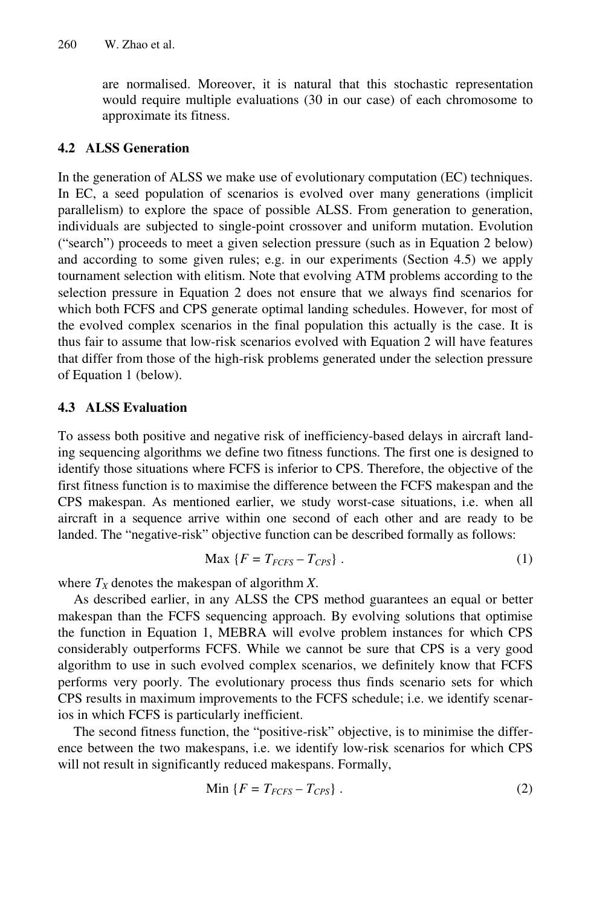are normalised. Moreover, it is natural that this stochastic representation would require multiple evaluations (30 in our case) of each chromosome to approximate its fitness.

#### **4.2 ALSS Generation**

In the generation of ALSS we make use of evolutionary computation (EC) techniques. In EC, a seed population of scenarios is evolved over many generations (implicit parallelism) to explore the space of possible ALSS. From generation to generation, individuals are subjected to single-point crossover and uniform mutation. Evolution ("search") proceeds to meet a given selection pressure (such as in Equation 2 below) and according to some given rules; e.g. in our experiments (Section 4.5) we apply tournament selection with elitism. Note that evolving ATM problems according to the selection pressure in Equation 2 does not ensure that we always find scenarios for which both FCFS and CPS generate optimal landing schedules. However, for most of the evolved complex scenarios in the final population this actually is the case. It is thus fair to assume that low-risk scenarios evolved with Equation 2 will have features that differ from those of the high-risk problems generated under the selection pressure of Equation 1 (below).

### **4.3 ALSS Evaluation**

To assess both positive and negative risk of inefficiency-based delays in aircraft landing sequencing algorithms we define two fitness functions. The first one is designed to identify those situations where FCFS is inferior to CPS. Therefore, the objective of the first fitness function is to maximise the difference between the FCFS makespan and the CPS makespan. As mentioned earlier, we study worst-case situations, i.e. when all aircraft in a sequence arrive within one second of each other and are ready to be landed. The "negative-risk" objective function can be described formally as follows:

$$
\text{Max } \{ F = T_{FCFS} - T_{CPS} \} . \tag{1}
$$

where  $T_X$  denotes the makespan of algorithm *X*.

As described earlier, in any ALSS the CPS method guarantees an equal or better makespan than the FCFS sequencing approach. By evolving solutions that optimise the function in Equation 1, MEBRA will evolve problem instances for which CPS considerably outperforms FCFS. While we cannot be sure that CPS is a very good algorithm to use in such evolved complex scenarios, we definitely know that FCFS performs very poorly. The evolutionary process thus finds scenario sets for which CPS results in maximum improvements to the FCFS schedule; i.e. we identify scenarios in which FCFS is particularly inefficient.

The second fitness function, the "positive-risk" objective, is to minimise the difference between the two makespans, i.e. we identify low-risk scenarios for which CPS will not result in significantly reduced makespans. Formally,

$$
\text{Min}\left\{F = T_{FCFS} - T_{CPS}\right\}.\tag{2}
$$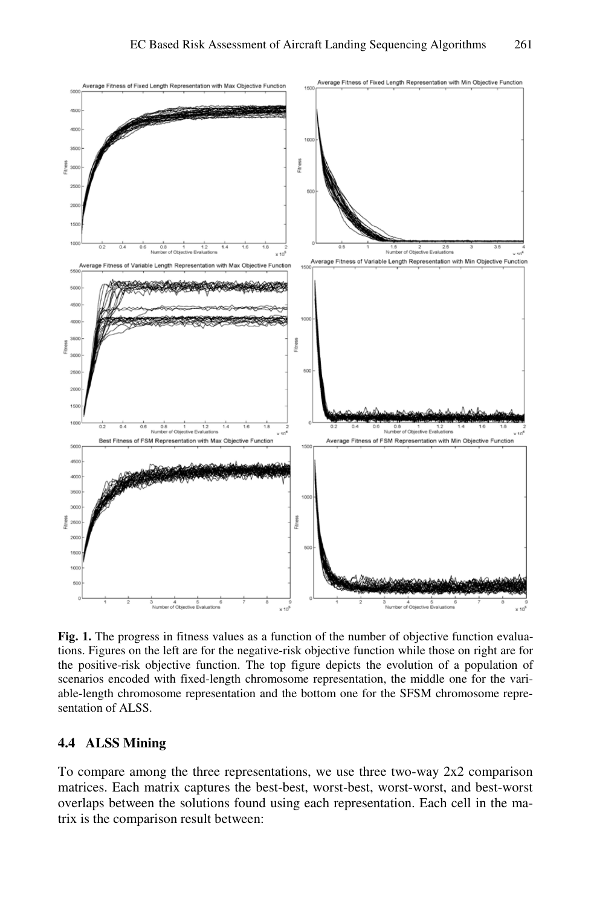

**Fig. 1.** The progress in fitness values as a function of the number of objective function evaluations. Figures on the left are for the negative-risk objective function while those on right are for the positive-risk objective function. The top figure depicts the evolution of a population of scenarios encoded with fixed-length chromosome representation, the middle one for the variable-length chromosome representation and the bottom one for the SFSM chromosome representation of ALSS.

#### **4.4 ALSS Mining**

To compare among the three representations, we use three two-way 2x2 comparison matrices. Each matrix captures the best-best, worst-best, worst-worst, and best-worst overlaps between the solutions found using each representation. Each cell in the matrix is the comparison result between: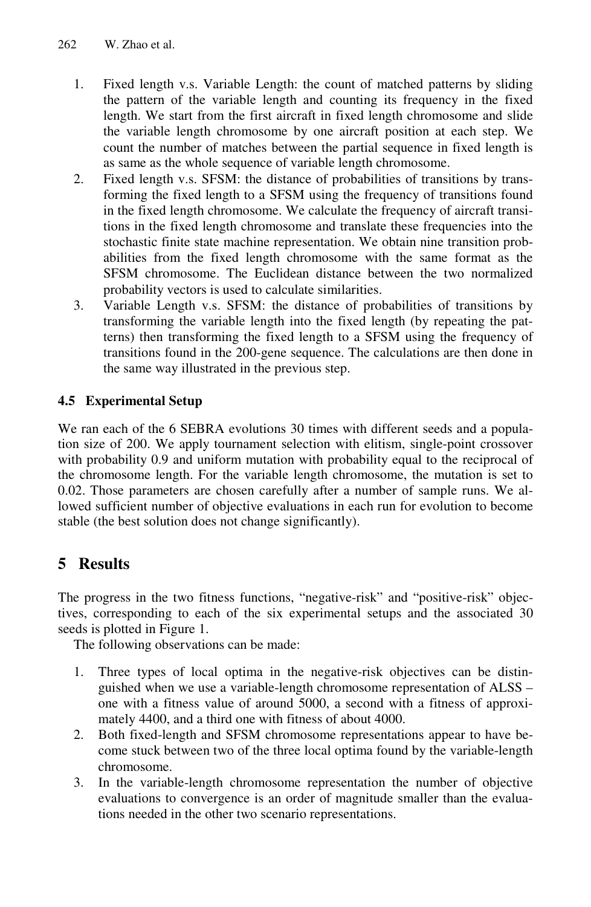- 1. Fixed length v.s. Variable Length: the count of matched patterns by sliding the pattern of the variable length and counting its frequency in the fixed length. We start from the first aircraft in fixed length chromosome and slide the variable length chromosome by one aircraft position at each step. We count the number of matches between the partial sequence in fixed length is as same as the whole sequence of variable length chromosome.
- 2. Fixed length v.s. SFSM: the distance of probabilities of transitions by transforming the fixed length to a SFSM using the frequency of transitions found in the fixed length chromosome. We calculate the frequency of aircraft transitions in the fixed length chromosome and translate these frequencies into the stochastic finite state machine representation. We obtain nine transition probabilities from the fixed length chromosome with the same format as the SFSM chromosome. The Euclidean distance between the two normalized probability vectors is used to calculate similarities.
- 3. Variable Length v.s. SFSM: the distance of probabilities of transitions by transforming the variable length into the fixed length (by repeating the patterns) then transforming the fixed length to a SFSM using the frequency of transitions found in the 200-gene sequence. The calculations are then done in the same way illustrated in the previous step.

### **4.5 Experimental Setup**

We ran each of the 6 SEBRA evolutions 30 times with different seeds and a population size of 200. We apply tournament selection with elitism, single-point crossover with probability 0.9 and uniform mutation with probability equal to the reciprocal of the chromosome length. For the variable length chromosome, the mutation is set to 0.02. Those parameters are chosen carefully after a number of sample runs. We allowed sufficient number of objective evaluations in each run for evolution to become stable (the best solution does not change significantly).

## **5 Results**

The progress in the two fitness functions, "negative-risk" and "positive-risk" objectives, corresponding to each of the six experimental setups and the associated 30 seeds is plotted in Figure 1.

The following observations can be made:

- 1. Three types of local optima in the negative-risk objectives can be distinguished when we use a variable-length chromosome representation of ALSS – one with a fitness value of around 5000, a second with a fitness of approximately 4400, and a third one with fitness of about 4000.
- 2. Both fixed-length and SFSM chromosome representations appear to have become stuck between two of the three local optima found by the variable-length chromosome.
- 3. In the variable-length chromosome representation the number of objective evaluations to convergence is an order of magnitude smaller than the evaluations needed in the other two scenario representations.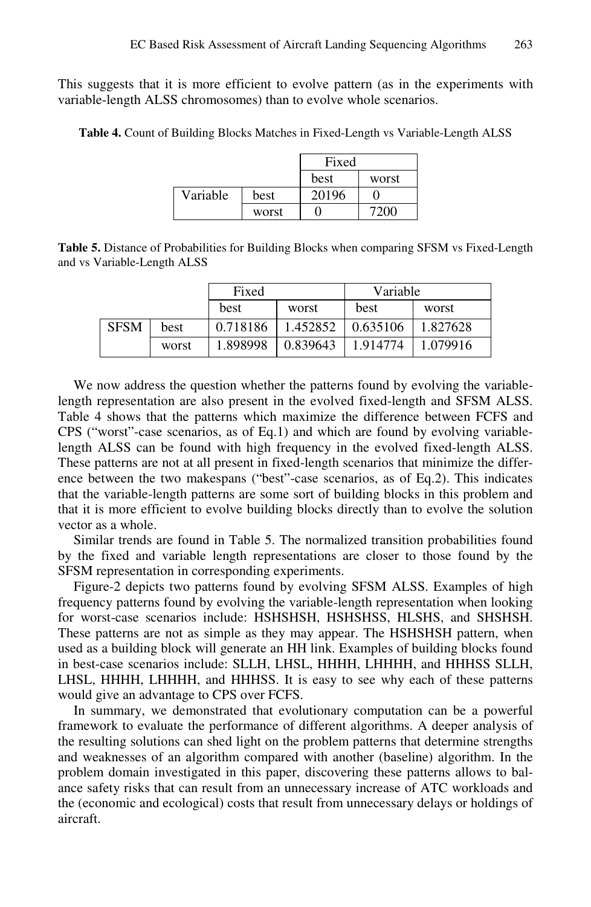This suggests that it is more efficient to evolve pattern (as in the experiments with variable-length ALSS chromosomes) than to evolve whole scenarios.

**Table 4.** Count of Building Blocks Matches in Fixed-Length vs Variable-Length ALSS

|          |       | Fixed |       |  |
|----------|-------|-------|-------|--|
|          |       | best  | worst |  |
| Variable | best  | 20196 |       |  |
|          | worst |       | 7200  |  |

**Table 5.** Distance of Probabilities for Building Blocks when comparing SFSM vs Fixed-Length and vs Variable-Length ALSS

|             |       | Fixed    |          | Variable |          |
|-------------|-------|----------|----------|----------|----------|
|             |       | best     | worst    | best     | worst    |
| <b>SFSM</b> | best  | 0.718186 | 1.452852 | 0.635106 | 1.827628 |
|             | worst | 1.898998 | 0.839643 | 1.914774 | 1.079916 |

We now address the question whether the patterns found by evolving the variablelength representation are also present in the evolved fixed-length and SFSM ALSS. Table 4 shows that the patterns which maximize the difference between FCFS and CPS ("worst"-case scenarios, as of Eq.1) and which are found by evolving variablelength ALSS can be found with high frequency in the evolved fixed-length ALSS. These patterns are not at all present in fixed-length scenarios that minimize the difference between the two makespans ("best"-case scenarios, as of Eq.2). This indicates that the variable-length patterns are some sort of building blocks in this problem and that it is more efficient to evolve building blocks directly than to evolve the solution vector as a whole.

Similar trends are found in Table 5. The normalized transition probabilities found by the fixed and variable length representations are closer to those found by the SFSM representation in corresponding experiments.

Figure-2 depicts two patterns found by evolving SFSM ALSS. Examples of high frequency patterns found by evolving the variable-length representation when looking for worst-case scenarios include: HSHSHSH, HSHSHSS, HLSHS, and SHSHSH. These patterns are not as simple as they may appear. The HSHSHSH pattern, when used as a building block will generate an HH link. Examples of building blocks found in best-case scenarios include: SLLH, LHSL, HHHH, LHHHH, and HHHSS SLLH, LHSL, HHHH, LHHHH, and HHHSS. It is easy to see why each of these patterns would give an advantage to CPS over FCFS.

In summary, we demonstrated that evolutionary computation can be a powerful framework to evaluate the performance of different algorithms. A deeper analysis of the resulting solutions can shed light on the problem patterns that determine strengths and weaknesses of an algorithm compared with another (baseline) algorithm. In the problem domain investigated in this paper, discovering these patterns allows to balance safety risks that can result from an unnecessary increase of ATC workloads and the (economic and ecological) costs that result from unnecessary delays or holdings of aircraft.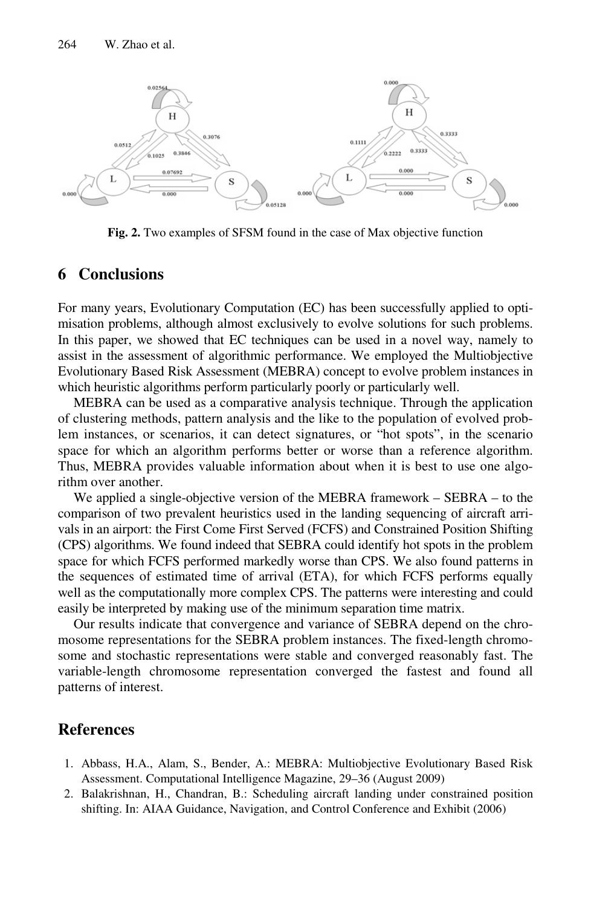

**Fig. 2.** Two examples of SFSM found in the case of Max objective function

### **6 Conclusions**

For many years, Evolutionary Computation (EC) has been successfully applied to optimisation problems, although almost exclusively to evolve solutions for such problems. In this paper, we showed that EC techniques can be used in a novel way, namely to assist in the assessment of algorithmic performance. We employed the Multiobjective Evolutionary Based Risk Assessment (MEBRA) concept to evolve problem instances in which heuristic algorithms perform particularly poorly or particularly well.

MEBRA can be used as a comparative analysis technique. Through the application of clustering methods, pattern analysis and the like to the population of evolved problem instances, or scenarios, it can detect signatures, or "hot spots", in the scenario space for which an algorithm performs better or worse than a reference algorithm. Thus, MEBRA provides valuable information about when it is best to use one algorithm over another.

We applied a single-objective version of the MEBRA framework – SEBRA – to the comparison of two prevalent heuristics used in the landing sequencing of aircraft arrivals in an airport: the First Come First Served (FCFS) and Constrained Position Shifting (CPS) algorithms. We found indeed that SEBRA could identify hot spots in the problem space for which FCFS performed markedly worse than CPS. We also found patterns in the sequences of estimated time of arrival (ETA), for which FCFS performs equally well as the computationally more complex CPS. The patterns were interesting and could easily be interpreted by making use of the minimum separation time matrix.

Our results indicate that convergence and variance of SEBRA depend on the chromosome representations for the SEBRA problem instances. The fixed-length chromosome and stochastic representations were stable and converged reasonably fast. The variable-length chromosome representation converged the fastest and found all patterns of interest.

#### **References**

- 1. Abbass, H.A., Alam, S., Bender, A.: MEBRA: Multiobjective Evolutionary Based Risk Assessment. Computational Intelligence Magazine, 29–36 (August 2009)
- 2. Balakrishnan, H., Chandran, B.: Scheduling aircraft landing under constrained position shifting. In: AIAA Guidance, Navigation, and Control Conference and Exhibit (2006)